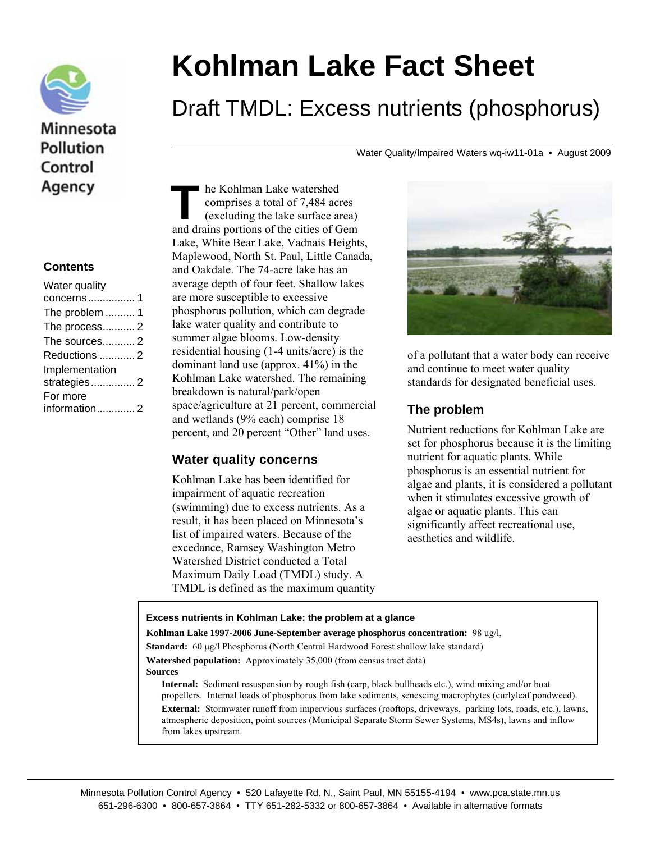

## Minnesota **Pollution** Control Agency

#### **Contents**

| Water quality  |  |
|----------------|--|
| concerns1      |  |
| The problem  1 |  |
| The process2   |  |
| The sources 2  |  |
| Reductions  2  |  |
| Implementation |  |
| strategies 2   |  |
| For more       |  |
| information 2  |  |
|                |  |

# **Kohlman Lake Fact Sheet**

## Draft TMDL: Excess nutrients (phosphorus)

Water Quality/Impaired Waters wq-iw11-01a • August 2009

he Kohlman Lake watershed comprises a total of 7,484 acres (excluding the lake surface area) he Kohlman Lake watershed<br>
comprises a total of 7,484 acres<br>
(excluding the lake surface area)<br>
and drains portions of the cities of Gem Lake, White Bear Lake, Vadnais Heights, Maplewood, North St. Paul, Little Canada, and Oakdale. The 74-acre lake has an average depth of four feet. Shallow lakes are more susceptible to excessive phosphorus pollution, which can degrade lake water quality and contribute to summer algae blooms. Low-density residential housing (1-4 units/acre) is the dominant land use (approx. 41%) in the Kohlman Lake watershed. The remaining breakdown is natural/park/open space/agriculture at 21 percent, commercial and wetlands (9% each) comprise 18 percent, and 20 percent "Other" land uses.

### **Water quality concerns**

Kohlman Lake has been identified for impairment of aquatic recreation (swimming) due to excess nutrients. As a result, it has been placed on Minnesota's list of impaired waters. Because of the excedance, Ramsey Washington Metro Watershed District conducted a Total Maximum Daily Load (TMDL) study. A TMDL is defined as the maximum quantity



of a pollutant that a water body can receive and continue to meet water quality standards for designated beneficial uses.

## **The problem**

Nutrient reductions for Kohlman Lake are set for phosphorus because it is the limiting nutrient for aquatic plants. While phosphorus is an essential nutrient for algae and plants, it is considered a pollutant when it stimulates excessive growth of algae or aquatic plants. This can significantly affect recreational use, aesthetics and wildlife.

#### **Excess nutrients in Kohlman Lake: the problem at a glance**

**Kohlman Lake 1997-2006 June-September average phosphorus concentration:** 98 ug/l,

**Standard:** 60 μg/l Phosphorus (North Central Hardwood Forest shallow lake standard) **Watershed population:** Approximately 35,000 (from census tract data)

**Sources** 

**Internal:** Sediment resuspension by rough fish (carp, black bullheads etc.), wind mixing and/or boat propellers. Internal loads of phosphorus from lake sediments, senescing macrophytes (curlyleaf pondweed). **External:** Stormwater runoff from impervious surfaces (rooftops, driveways, parking lots, roads, etc.), lawns, atmospheric deposition, point sources (Municipal Separate Storm Sewer Systems, MS4s), lawns and inflow from lakes upstream.